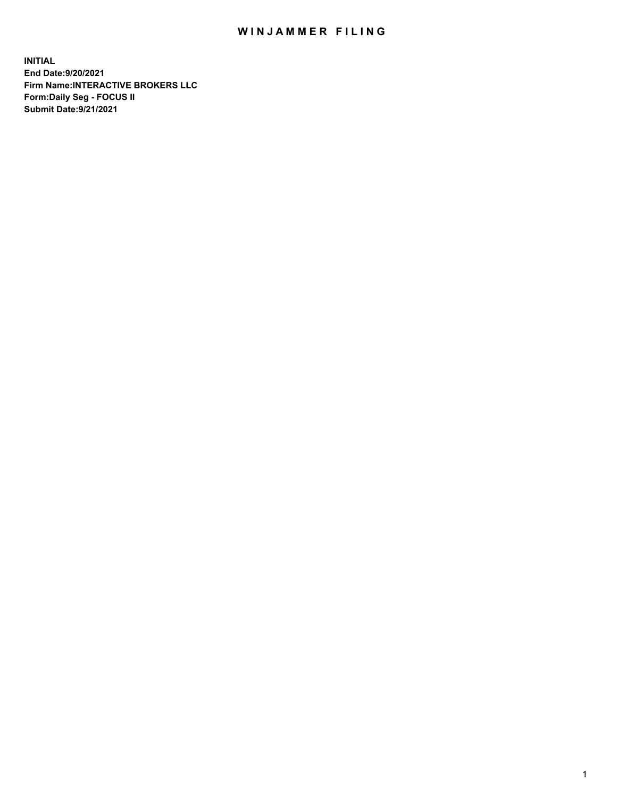## WIN JAMMER FILING

**INITIAL End Date:9/20/2021 Firm Name:INTERACTIVE BROKERS LLC Form:Daily Seg - FOCUS II Submit Date:9/21/2021**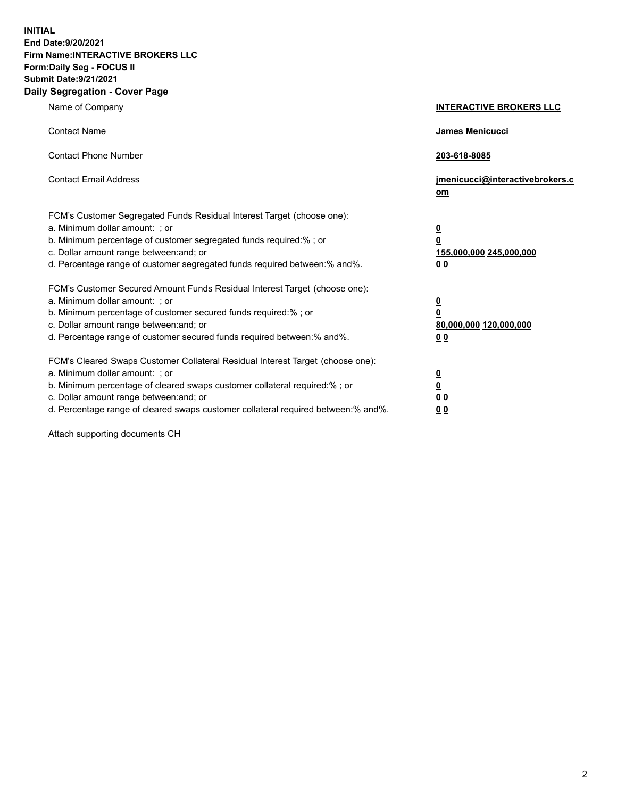**INITIAL End Date:9/20/2021 Firm Name:INTERACTIVE BROKERS LLC Form:Daily Seg - FOCUS II Submit Date:9/21/2021 Daily Segregation - Cover Page**

| Name of Company                                                                                                                                                                                                                                                                                                                | <b>INTERACTIVE BROKERS LLC</b>                                                                  |  |
|--------------------------------------------------------------------------------------------------------------------------------------------------------------------------------------------------------------------------------------------------------------------------------------------------------------------------------|-------------------------------------------------------------------------------------------------|--|
| <b>Contact Name</b>                                                                                                                                                                                                                                                                                                            | James Menicucci                                                                                 |  |
| <b>Contact Phone Number</b>                                                                                                                                                                                                                                                                                                    | 203-618-8085                                                                                    |  |
| <b>Contact Email Address</b>                                                                                                                                                                                                                                                                                                   | jmenicucci@interactivebrokers.c<br>om                                                           |  |
| FCM's Customer Segregated Funds Residual Interest Target (choose one):<br>a. Minimum dollar amount: ; or<br>b. Minimum percentage of customer segregated funds required:% ; or<br>c. Dollar amount range between: and; or<br>d. Percentage range of customer segregated funds required between: % and %.                       | $\overline{\mathbf{0}}$<br>$\overline{\mathbf{0}}$<br>155,000,000 245,000,000<br>0 <sub>0</sub> |  |
| FCM's Customer Secured Amount Funds Residual Interest Target (choose one):<br>a. Minimum dollar amount: ; or<br>b. Minimum percentage of customer secured funds required:% ; or<br>c. Dollar amount range between: and; or<br>d. Percentage range of customer secured funds required between:% and%.                           | $\overline{\mathbf{0}}$<br>$\overline{\mathbf{0}}$<br>80,000,000 120,000,000<br>0 <sub>0</sub>  |  |
| FCM's Cleared Swaps Customer Collateral Residual Interest Target (choose one):<br>a. Minimum dollar amount: ; or<br>b. Minimum percentage of cleared swaps customer collateral required:% ; or<br>c. Dollar amount range between: and; or<br>d. Percentage range of cleared swaps customer collateral required between:% and%. | $\overline{\mathbf{0}}$<br><u>0</u><br>0 <sub>0</sub><br>00                                     |  |

Attach supporting documents CH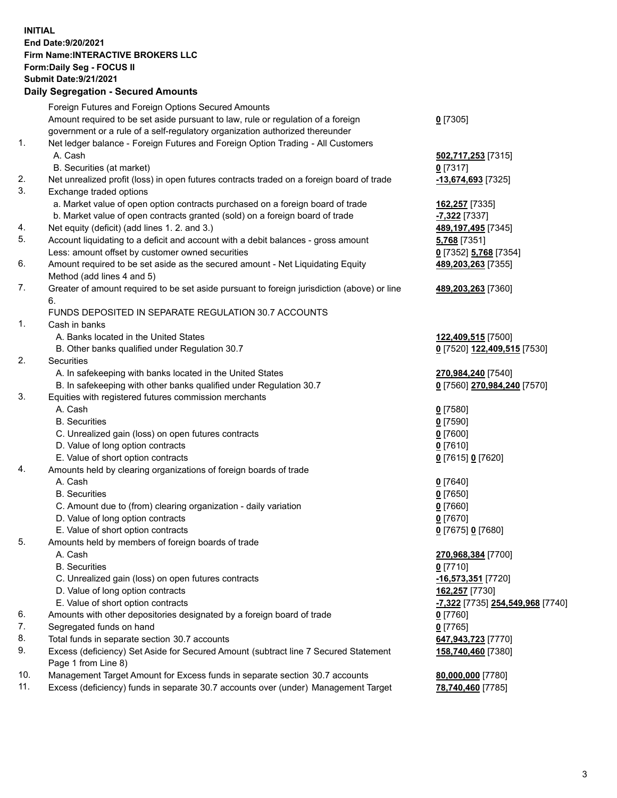**INITIAL End Date:9/20/2021 Firm Name:INTERACTIVE BROKERS LLC Form:Daily Seg - FOCUS II Submit Date:9/21/2021 Daily Segregation - Secured Amounts**

## Foreign Futures and Foreign Options Secured Amounts Amount required to be set aside pursuant to law, rule or regulation of a foreign government or a rule of a self-regulatory organization authorized thereunder **0** [7305] 1. Net ledger balance - Foreign Futures and Foreign Option Trading - All Customers A. Cash **502,717,253** [7315] B. Securities (at market) **0** [7317] 2. Net unrealized profit (loss) in open futures contracts traded on a foreign board of trade **-13,674,693** [7325] 3. Exchange traded options a. Market value of open option contracts purchased on a foreign board of trade **162,257** [7335] b. Market value of open contracts granted (sold) on a foreign board of trade **-7,322** [7337] 4. Net equity (deficit) (add lines 1. 2. and 3.) **489,197,495** [7345] 5. Account liquidating to a deficit and account with a debit balances - gross amount **5,768** [7351] Less: amount offset by customer owned securities **0** [7352] **5,768** [7354] 6. Amount required to be set aside as the secured amount - Net Liquidating Equity Method (add lines 4 and 5) **489,203,263** [7355] 7. Greater of amount required to be set aside pursuant to foreign jurisdiction (above) or line 6. **489,203,263** [7360] FUNDS DEPOSITED IN SEPARATE REGULATION 30.7 ACCOUNTS 1. Cash in banks A. Banks located in the United States **122,409,515** [7500] B. Other banks qualified under Regulation 30.7 **0** [7520] **122,409,515** [7530] 2. Securities A. In safekeeping with banks located in the United States **270,984,240** [7540] B. In safekeeping with other banks qualified under Regulation 30.7 **0** [7560] **270,984,240** [7570] 3. Equities with registered futures commission merchants A. Cash **0** [7580] B. Securities **0** [7590] C. Unrealized gain (loss) on open futures contracts **0** [7600] D. Value of long option contracts **0** [7610] E. Value of short option contracts **0** [7615] **0** [7620] 4. Amounts held by clearing organizations of foreign boards of trade A. Cash **0** [7640] B. Securities **0** [7650] C. Amount due to (from) clearing organization - daily variation **0** [7660] D. Value of long option contracts **0** [7670] E. Value of short option contracts **0** [7675] **0** [7680] 5. Amounts held by members of foreign boards of trade A. Cash **270,968,384** [7700] B. Securities **0** [7710] C. Unrealized gain (loss) on open futures contracts **-16,573,351** [7720] D. Value of long option contracts **162,257** [7730] E. Value of short option contracts **-7,322** [7735] **254,549,968** [7740] 6. Amounts with other depositories designated by a foreign board of trade **0** [7760] 7. Segregated funds on hand **0** [7765] 8. Total funds in separate section 30.7 accounts **647,943,723** [7770] 9. Excess (deficiency) Set Aside for Secured Amount (subtract line 7 Secured Statement Page 1 from Line 8) **158,740,460** [7380] 10. Management Target Amount for Excess funds in separate section 30.7 accounts **80,000,000** [7780] 11. Excess (deficiency) funds in separate 30.7 accounts over (under) Management Target **78,740,460** [7785]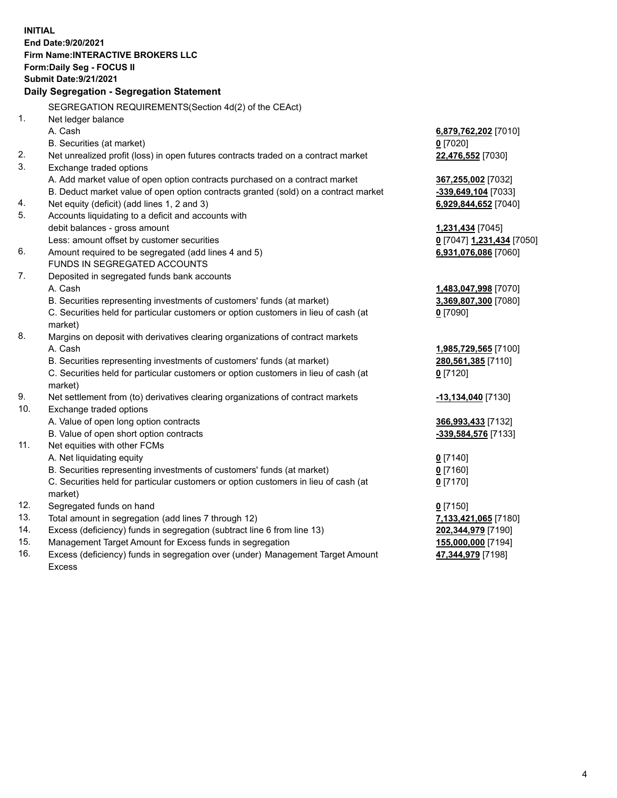**INITIAL End Date:9/20/2021 Firm Name:INTERACTIVE BROKERS LLC Form:Daily Seg - FOCUS II Submit Date:9/21/2021 Daily Segregation - Segregation Statement** SEGREGATION REQUIREMENTS(Section 4d(2) of the CEAct) 1. Net ledger balance A. Cash **6,879,762,202** [7010] B. Securities (at market) **0** [7020] 2. Net unrealized profit (loss) in open futures contracts traded on a contract market **22,476,552** [7030] 3. Exchange traded options A. Add market value of open option contracts purchased on a contract market **367,255,002** [7032] B. Deduct market value of open option contracts granted (sold) on a contract market **-339,649,104** [7033] 4. Net equity (deficit) (add lines 1, 2 and 3) **6,929,844,652** [7040] 5. Accounts liquidating to a deficit and accounts with debit balances - gross amount **1,231,434** [7045] Less: amount offset by customer securities **0** [7047] **1,231,434** [7050] 6. Amount required to be segregated (add lines 4 and 5) **6,931,076,086** [7060] FUNDS IN SEGREGATED ACCOUNTS 7. Deposited in segregated funds bank accounts A. Cash **1,483,047,998** [7070] B. Securities representing investments of customers' funds (at market) **3,369,807,300** [7080] C. Securities held for particular customers or option customers in lieu of cash (at market) **0** [7090] 8. Margins on deposit with derivatives clearing organizations of contract markets A. Cash **1,985,729,565** [7100] B. Securities representing investments of customers' funds (at market) **280,561,385** [7110] C. Securities held for particular customers or option customers in lieu of cash (at market) **0** [7120] 9. Net settlement from (to) derivatives clearing organizations of contract markets **-13,134,040** [7130] 10. Exchange traded options A. Value of open long option contracts **366,993,433** [7132] B. Value of open short option contracts **-339,584,576** [7133] 11. Net equities with other FCMs A. Net liquidating equity **0** [7140] B. Securities representing investments of customers' funds (at market) **0** [7160] C. Securities held for particular customers or option customers in lieu of cash (at market) **0** [7170] 12. Segregated funds on hand **0** [7150] 13. Total amount in segregation (add lines 7 through 12) **7,133,421,065** [7180] 14. Excess (deficiency) funds in segregation (subtract line 6 from line 13) **202,344,979** [7190] 15. Management Target Amount for Excess funds in segregation **155,000,000** [7194] 16. Excess (deficiency) funds in segregation over (under) Management Target Amount **47,344,979** [7198]

Excess